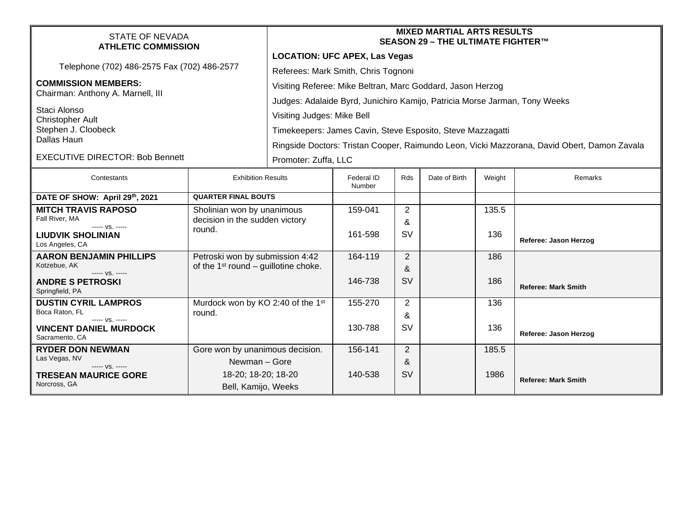| STATE OF NEVADA<br><b>ATHLETIC COMMISSION</b>                                 |                                                                           | <b>MIXED MARTIAL ARTS RESULTS</b><br>SEASON 29 - THE ULTIMATE FIGHTER™                                   |                      |                |               |        |                            |  |
|-------------------------------------------------------------------------------|---------------------------------------------------------------------------|----------------------------------------------------------------------------------------------------------|----------------------|----------------|---------------|--------|----------------------------|--|
| Telephone (702) 486-2575 Fax (702) 486-2577                                   |                                                                           | <b>LOCATION: UFC APEX, Las Vegas</b><br>Referees: Mark Smith, Chris Tognoni                              |                      |                |               |        |                            |  |
| <b>COMMISSION MEMBERS:</b><br>Chairman: Anthony A. Marnell, III               |                                                                           | Visiting Referee: Mike Beltran, Marc Goddard, Jason Herzog                                               |                      |                |               |        |                            |  |
| Staci Alonso<br><b>Christopher Ault</b><br>Stephen J. Cloobeck<br>Dallas Haun |                                                                           | Judges: Adalaide Byrd, Junichiro Kamijo, Patricia Morse Jarman, Tony Weeks<br>Visiting Judges: Mike Bell |                      |                |               |        |                            |  |
|                                                                               |                                                                           | Timekeepers: James Cavin, Steve Esposito, Steve Mazzagatti                                               |                      |                |               |        |                            |  |
|                                                                               |                                                                           | Ringside Doctors: Tristan Cooper, Raimundo Leon, Vicki Mazzorana, David Obert, Damon Zavala              |                      |                |               |        |                            |  |
| <b>EXECUTIVE DIRECTOR: Bob Bennett</b>                                        |                                                                           | Promoter: Zuffa, LLC                                                                                     |                      |                |               |        |                            |  |
| Contestants                                                                   | <b>Exhibition Results</b>                                                 |                                                                                                          | Federal ID<br>Number | <b>Rds</b>     | Date of Birth | Weight | Remarks                    |  |
| DATE OF SHOW: April 29th, 2021                                                | <b>QUARTER FINAL BOUTS</b>                                                |                                                                                                          |                      |                |               |        |                            |  |
| <b>MITCH TRAVIS RAPOSO</b><br>Fall River, MA                                  | Sholinian won by unanimous<br>decision in the sudden victory<br>round.    |                                                                                                          | 159-041              | 2<br>&         |               | 135.5  |                            |  |
| ----- VS. -----<br><b>LIUDVIK SHOLINIAN</b><br>Los Angeles, CA                |                                                                           |                                                                                                          | 161-598              | <b>SV</b>      |               | 136    | Referee: Jason Herzog      |  |
| <b>AARON BENJAMIN PHILLIPS</b><br>Kotzebue, AK                                | Petroski won by submission 4:42<br>of the $1st$ round – guillotine choke. |                                                                                                          | 164-119              | 2              |               | 186    |                            |  |
| ----- VS. -----<br><b>ANDRE S PETROSKI</b><br>Springfield, PA                 |                                                                           |                                                                                                          | 146-738              | &<br><b>SV</b> |               | 186    | <b>Referee: Mark Smith</b> |  |
| <b>DUSTIN CYRIL LAMPROS</b><br>Boca Raton, FL                                 | Murdock won by KO 2:40 of the 1st<br>round.                               |                                                                                                          | 155-270              | 2              |               | 136    |                            |  |
| ----- VS. -----<br><b>VINCENT DANIEL MURDOCK</b><br>Sacramento, CA            |                                                                           |                                                                                                          | 130-788              | &<br><b>SV</b> |               | 136    | Referee: Jason Herzog      |  |
| <b>RYDER DON NEWMAN</b>                                                       | Gore won by unanimous decision.                                           |                                                                                                          | 156-141              | 2              |               | 185.5  |                            |  |
| Las Vegas, NV<br>Newman - Gore<br>$--- VS. ---$                               |                                                                           |                                                                                                          |                      | &              |               |        |                            |  |
| <b>TRESEAN MAURICE GORE</b>                                                   | 18-20; 18-20; 18-20<br>Bell, Kamijo, Weeks                                |                                                                                                          | 140-538              | <b>SV</b>      |               | 1986   | <b>Referee: Mark Smith</b> |  |
| Norcross, GA                                                                  |                                                                           |                                                                                                          |                      |                |               |        |                            |  |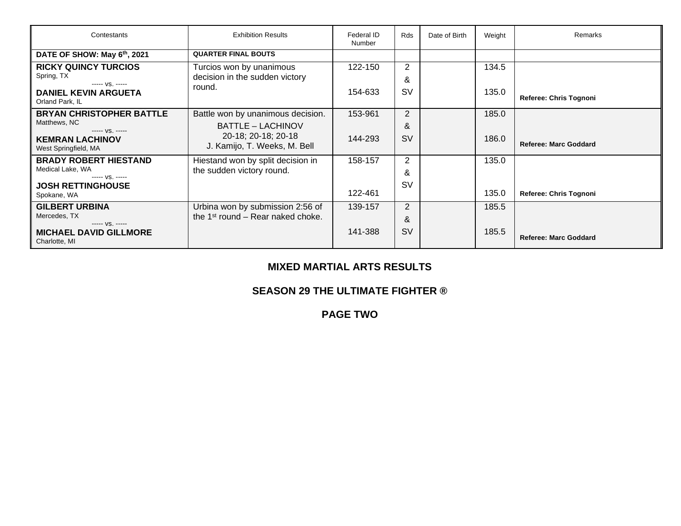| Contestants                       | <b>Exhibition Results</b>                     | Federal ID<br>Number | Rds            | Date of Birth | Weight | Remarks                      |
|-----------------------------------|-----------------------------------------------|----------------------|----------------|---------------|--------|------------------------------|
| DATE OF SHOW: May 6th, 2021       | <b>QUARTER FINAL BOUTS</b>                    |                      |                |               |        |                              |
| <b>RICKY QUINCY TURCIOS</b>       | Turcios won by unanimous                      | 122-150              | 2              |               | 134.5  |                              |
| Spring, TX<br>$--- VS. ---$       | decision in the sudden victory                |                      | &              |               |        |                              |
| <b>DANIEL KEVIN ARGUETA</b>       | round.                                        | 154-633              | <b>SV</b>      |               | 135.0  | Referee: Chris Tognoni       |
| Orland Park, IL                   |                                               |                      |                |               |        |                              |
| <b>BRYAN CHRISTOPHER BATTLE</b>   | Battle won by unanimous decision.             | 153-961              | $\overline{2}$ |               | 185.0  |                              |
| Matthews, NC<br>$--- VS. ---$     | <b>BATTLE – LACHINOV</b>                      |                      | &              |               |        |                              |
| <b>KEMRAN LACHINOV</b>            | 20-18; 20-18; 20-18                           | 144-293              | <b>SV</b>      |               | 186.0  | <b>Referee: Marc Goddard</b> |
| West Springfield, MA              | J. Kamijo, T. Weeks, M. Bell                  |                      |                |               |        |                              |
| <b>BRADY ROBERT HIESTAND</b>      | Hiestand won by split decision in             | 158-157              | 2              |               | 135.0  |                              |
| Medical Lake, WA<br>$--- VS. ---$ | the sudden victory round.                     |                      | &              |               |        |                              |
| <b>JOSH RETTINGHOUSE</b>          |                                               |                      | <b>SV</b>      |               |        |                              |
| Spokane, WA                       |                                               | 122-461              |                |               | 135.0  | Referee: Chris Tognoni       |
| <b>GILBERT URBINA</b>             | Urbina won by submission 2:56 of              | 139-157              | $\overline{2}$ |               | 185.5  |                              |
| Mercedes, TX<br>$--- VS. ---$     | the 1 <sup>st</sup> round – Rear naked choke. |                      | &              |               |        |                              |
| <b>MICHAEL DAVID GILLMORE</b>     |                                               | 141-388              | <b>SV</b>      |               | 185.5  |                              |
| Charlotte, MI                     |                                               |                      |                |               |        | <b>Referee: Marc Goddard</b> |

### **MIXED MARTIAL ARTS RESULTS**

### **SEASON 29 THE ULTIMATE FIGHTER ®**

**PAGE TWO**